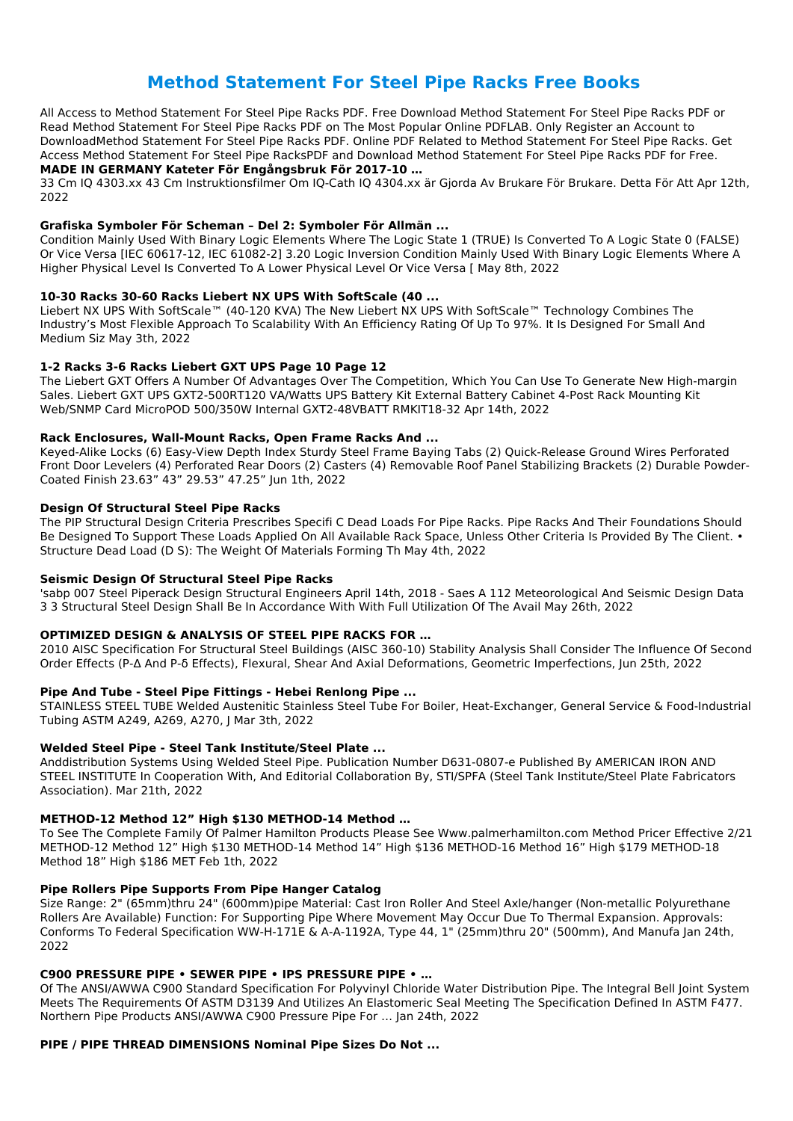# **Method Statement For Steel Pipe Racks Free Books**

All Access to Method Statement For Steel Pipe Racks PDF. Free Download Method Statement For Steel Pipe Racks PDF or Read Method Statement For Steel Pipe Racks PDF on The Most Popular Online PDFLAB. Only Register an Account to DownloadMethod Statement For Steel Pipe Racks PDF. Online PDF Related to Method Statement For Steel Pipe Racks. Get Access Method Statement For Steel Pipe RacksPDF and Download Method Statement For Steel Pipe Racks PDF for Free.

# **MADE IN GERMANY Kateter För Engångsbruk För 2017-10 …**

33 Cm IQ 4303.xx 43 Cm Instruktionsfilmer Om IQ-Cath IQ 4304.xx är Gjorda Av Brukare För Brukare. Detta För Att Apr 12th, 2022

### **Grafiska Symboler För Scheman – Del 2: Symboler För Allmän ...**

Condition Mainly Used With Binary Logic Elements Where The Logic State 1 (TRUE) Is Converted To A Logic State 0 (FALSE) Or Vice Versa [IEC 60617-12, IEC 61082-2] 3.20 Logic Inversion Condition Mainly Used With Binary Logic Elements Where A Higher Physical Level Is Converted To A Lower Physical Level Or Vice Versa [ May 8th, 2022

# **10-30 Racks 30-60 Racks Liebert NX UPS With SoftScale (40 ...**

Liebert NX UPS With SoftScale™ (40-120 KVA) The New Liebert NX UPS With SoftScale™ Technology Combines The Industry's Most Flexible Approach To Scalability With An Efficiency Rating Of Up To 97%. It Is Designed For Small And Medium Siz May 3th, 2022

# **1-2 Racks 3-6 Racks Liebert GXT UPS Page 10 Page 12**

The Liebert GXT Offers A Number Of Advantages Over The Competition, Which You Can Use To Generate New High-margin Sales. Liebert GXT UPS GXT2-500RT120 VA/Watts UPS Battery Kit External Battery Cabinet 4-Post Rack Mounting Kit Web/SNMP Card MicroPOD 500/350W Internal GXT2-48VBATT RMKIT18-32 Apr 14th, 2022

### **Rack Enclosures, Wall‑Mount Racks, Open Frame Racks And ...**

Keyed-Alike Locks (6) Easy-View Depth Index Sturdy Steel Frame Baying Tabs (2) Quick-Release Ground Wires Perforated Front Door Levelers (4) Perforated Rear Doors (2) Casters (4) Removable Roof Panel Stabilizing Brackets (2) Durable Powder-Coated Finish 23.63" 43" 29.53" 47.25" Jun 1th, 2022

### **Design Of Structural Steel Pipe Racks**

The PIP Structural Design Criteria Prescribes Specifi C Dead Loads For Pipe Racks. Pipe Racks And Their Foundations Should Be Designed To Support These Loads Applied On All Available Rack Space, Unless Other Criteria Is Provided By The Client. • Structure Dead Load (D S): The Weight Of Materials Forming Th May 4th, 2022

### **Seismic Design Of Structural Steel Pipe Racks**

'sabp 007 Steel Piperack Design Structural Engineers April 14th, 2018 - Saes A 112 Meteorological And Seismic Design Data 3 3 Structural Steel Design Shall Be In Accordance With With Full Utilization Of The Avail May 26th, 2022

# **OPTIMIZED DESIGN & ANALYSIS OF STEEL PIPE RACKS FOR …**

2010 AISC Specification For Structural Steel Buildings (AISC 360-10) Stability Analysis Shall Consider The Influence Of Second Order Effects (P-Δ And P-δ Effects), Flexural, Shear And Axial Deformations, Geometric Imperfections, Jun 25th, 2022

### **Pipe And Tube - Steel Pipe Fittings - Hebei Renlong Pipe ...**

STAINLESS STEEL TUBE Welded Austenitic Stainless Steel Tube For Boiler, Heat-Exchanger, General Service & Food-Industrial Tubing ASTM A249, A269, A270, J Mar 3th, 2022

# **Welded Steel Pipe - Steel Tank Institute/Steel Plate ...**

Anddistribution Systems Using Welded Steel Pipe. Publication Number D631-0807-e Published By AMERICAN IRON AND STEEL INSTITUTE In Cooperation With, And Editorial Collaboration By, STI/SPFA (Steel Tank Institute/Steel Plate Fabricators Association). Mar 21th, 2022

### **METHOD-12 Method 12" High \$130 METHOD-14 Method …**

To See The Complete Family Of Palmer Hamilton Products Please See Www.palmerhamilton.com Method Pricer Effective 2/21 METHOD-12 Method 12" High \$130 METHOD-14 Method 14" High \$136 METHOD-16 Method 16" High \$179 METHOD-18 Method 18" High \$186 MET Feb 1th, 2022

#### **Pipe Rollers Pipe Supports From Pipe Hanger Catalog**

Size Range: 2" (65mm)thru 24" (600mm)pipe Material: Cast Iron Roller And Steel Axle/hanger (Non-metallic Polyurethane Rollers Are Available) Function: For Supporting Pipe Where Movement May Occur Due To Thermal Expansion. Approvals: Conforms To Federal Specification WW-H-171E & A-A-1192A, Type 44, 1" (25mm)thru 20" (500mm), And Manufa Jan 24th, 2022

#### **C900 PRESSURE PIPE • SEWER PIPE • IPS PRESSURE PIPE • …**

Of The ANSI/AWWA C900 Standard Specification For Polyvinyl Chloride Water Distribution Pipe. The Integral Bell Joint System Meets The Requirements Of ASTM D3139 And Utilizes An Elastomeric Seal Meeting The Specification Defined In ASTM F477. Northern Pipe Products ANSI/AWWA C900 Pressure Pipe For … Jan 24th, 2022

#### **PIPE / PIPE THREAD DIMENSIONS Nominal Pipe Sizes Do Not ...**